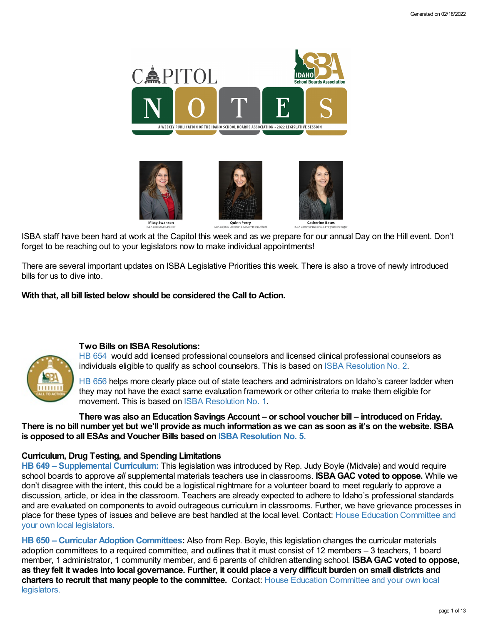

ISBA staff have been hard at work at the Capitol this week and as we prepare for our annual Day on the Hill event. Don't forget to be reaching out to your legislators now to make individual appointments!

There are several important updates on ISBA Legislative Priorities this week. There is also a trove of newly introduced bills for us to dive into.

**With that, all bill listed below should be considered the Call to Action.**



# **Two Bills on ISBA Resolutions:**

HB [654](https://legislature.idaho.gov/sessioninfo/2022/legislation/H0654/) would add licensed professional counselors and licensed clinical professional counselors as individuals eligible to qualify as school counselors. This is based on ISBA [Resolution](https://www.idsba.org/wp-content/uploads/2021/12/02-Hiring-Flexibility-on-Licensed-Counselors.pdf) No. 2.

HB [656](https://legislature.idaho.gov/sessioninfo/2022/legislation/H0656/) helps more clearly place out of state teachers and administrators on Idaho's career ladder when they may not have the exact same evaluation framework or other criteria to make them eligible for movement. This is based on ISBA [Resolution](https://www.idsba.org/wp-content/uploads/2021/12/01-ISBA-Resolution-Career-Ladder-Placement.pdf) No. 1.

**There was also an Education Savings Account – or school voucher bill – introduced on Friday.** There is no bill number vet but we'll provide as much information as we can as soon as it's on the website. ISBA **is opposed to all ESAs and Voucher Bills based on ISBA [Resolution](https://www.idsba.org/wp-content/uploads/2020/11/5-Opposition-to-Public-Funds-Diverted-to-Private-Schools.pdf) No. 5.**

# **Curriculum, Drug Testing, and Spending Limitations**

**HB 649 – [Supplemental](https://legislature.idaho.gov/sessioninfo/2022/legislation/H0649/) Curriculum:** This legislation was introduced by Rep. Judy Boyle (Midvale) and would require school boards to approve *all* supplemental materials teachers use in classrooms. **ISBAGAC voted to oppose.** While we don't disagree with the intent, this could be a logistical nightmare for a volunteer board to meet regularly to approve a discussion, article, or idea in the classroom. Teachers are already expected to adhere to Idaho's professional standards and are evaluated on components to avoid outrageous curriculum in classrooms. Further, we have grievance processes in place for these types of issues and believe are best handled at the local level. Contact: House Education [Committee](https://legislature.idaho.gov/sessioninfo/2022/standingcommittees/HEDU/) and your own local legislators.

**HB 650 – Curricular Adoption [Committees:](https://legislature.idaho.gov/sessioninfo/2022/legislation/H0650/)** Also from Rep. Boyle, this legislation changes the curricular materials adoption committees to a required committee, and outlines that it must consist of 12 members – 3 teachers, 1 board member, 1 administrator, 1 community member, and 6 parents of children attending school. **ISBAGAC voted to oppose,** as they felt it wades into local governance. Further, it could place a very difficult burden on small districts and **charters to recruit that many people to the [committee.](https://legislature.idaho.gov/sessioninfo/2022/standingcommittees/HEDU/)** Contact: House Education Committee and your own local legislators.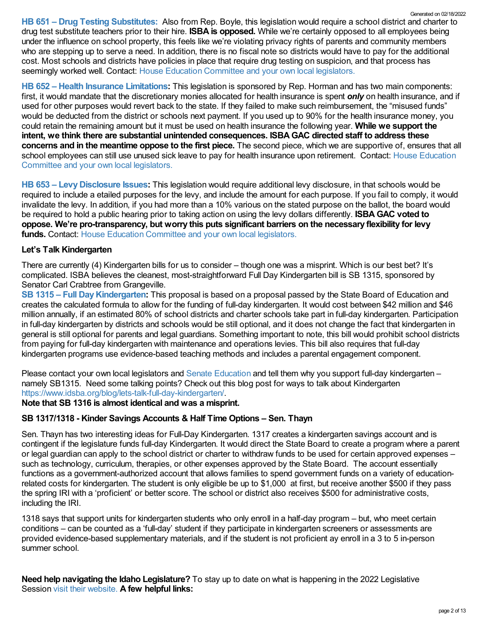**HB 651 – Drug Testing [Substitutes:](https://legislature.idaho.gov/sessioninfo/2022/legislation/H0651/)** Also from Rep. Boyle, this legislation would require a school district and charter to drug test substitute teachers prior to their hire. **ISBA is opposed.** While we're certainly opposed to all employees being under the influence on school property, this feels like we're violating privacy rights of parents and community members who are stepping up to serve a need. In addition, there is no fiscal note so districts would have to pay for the additional cost. Most schools and districts have policies in place that require drug testing on suspicion, and that process has seemingly worked well. Contact: House Education [Committee](https://legislature.idaho.gov/sessioninfo/2022/standingcommittees/HEDU/) and your own local legislators. Generated on 02/18/2022

**HB 652 – Health Insurance [Limitations:](https://legislature.idaho.gov/sessioninfo/2022/legislation/H0652/)** This legislation is sponsored by Rep. Horman and has two main components: first, it would mandate that the discretionary monies allocated for health insurance is spent *only* on health insurance, and if used for other purposes would revert back to the state. If they failed to make such reimbursement, the "misused funds" would be deducted from the district or schools next payment. If you used up to 90% for the health insurance money, you could retain the remaining amount but it must be used on health insurance the following year. **While we support the intent, we think there are substantial unintended consequences. ISBAGAC directed staff to address these concerns and in the meantime oppose to the first piece.** The second piece, which we are supportive of, ensures that all school employees can still use unused sick leave to pay for health insurance upon retirement. Contact: House Education [Committee](https://legislature.idaho.gov/sessioninfo/2022/standingcommittees/HEDU/) and your own local legislators.

**HB 653 – [LevyDisclosure](https://legislature.idaho.gov/sessioninfo/2022/legislation/H0653/) Issues:** This legislation would require additional levy disclosure, in that schools would be required to include a etailed purposes for the levy, and include the amount for each purpose. If you fail to comply, it would invalidate the levy. In addition, if you had more than a 10% various on the stated purpose on the ballot, the board would be required to hold a public hearing prior to taking action on using the levy dollars differently. **ISBAGAC voted to oppose. We're pro-transparency, but worry this puts significant barriers on the necessary flexibility for levy funds.** Contact: House Education [Committee](https://legislature.idaho.gov/sessioninfo/2022/standingcommittees/HEDU/) and your own local legislators.

# **Let's Talk Kindergarten**

There are currently (4) Kindergarten bills for us to consider – though one was a misprint. Which is our best bet? It's complicated. ISBA believes the cleanest, most-straightforward Full Day Kindergarten bill is SB 1315, sponsored by Senator Carl Crabtree from Grangeville.

**SB 1315 – Full [DayKindergarten:](https://legislature.idaho.gov/sessioninfo/2022/legislation/S1315/)** This proposal is based on a proposal passed by the State Board of Education and creates the calculated formula to allow for the funding of full-day kindergarten. It would cost between \$42 million and \$46 million annually, if an estimated 80% of school districts and charter schools take part in full-day kindergarten. Participation in full-day kindergarten by districts and schools would be still optional, and it does not change the fact that kindergarten in general is still optional for parents and legal guardians. Something important to note, this bill would prohibit school districts from paying for full-day kindergarten with maintenance and operations levies. This bill also requires that full-day kindergarten programs use evidence-based teaching methods and includes a parental engagement component.

Please contact your own local legislators and Senate [Education](https://legislature.idaho.gov/sessioninfo/2022/standingcommittees/SEDU/) and tell them why you support full-day kindergarten – namely SB1315. Need some talking points? Check out this blog post for ways to talk about Kindergarten <https://www.idsba.org/blog/lets-talk-full-day-kindergarten/>.

# **Note that SB 1316 is almost identical and was a misprint.**

# **SB 1317/1318 - Kinder Savings Accounts & Half Time Options – Sen. Thayn**

Sen. Thayn has two interesting ideas for Full-Day Kindergarten. 1317 creates a kindergarten savings account and is contingent if the legislature funds full-day Kindergarten. It would direct the State Board to create a program where a parent or legal guardian can apply to the school district or charter to withdraw funds to be used for certain approved expenses – such as technology, curriculum, therapies, or other expenses approved by the State Board. The account essentially functions as a government-authorized account that allows families to spend government funds on a variety of educationrelated costs for kindergarten. The student is only eligible be up to \$1,000 at first, but receive another \$500 if they pass the spring IRI with a 'proficient' or better score. The school or district also receives \$500 for administrative costs, including the IRI.

1318 says that support units for kindergarten students who only enroll in a half-day program – but, who meet certain conditions – can be counted as a 'full-day' student if they participate in kindergarten screeners or assessments are provided evidence-based supplementary materials, and if the student is not proficient ay enroll in a 3 to 5 in-person summer school.

**Need help navigating the Idaho Legislature?** To stay up to date on what is happening in the 2022 Legislative Session visit their [website.](https://legislature.idaho.gov/legislators/whosmylegislator/) **A few helpful links:**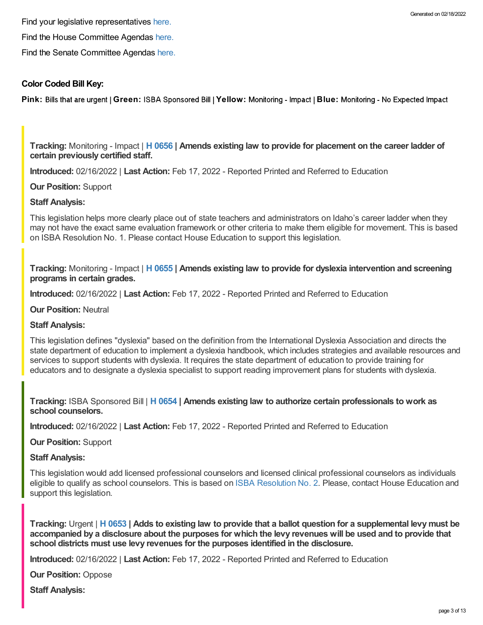Find the House Committee Agendas [here.](https://legislature.idaho.gov/sessioninfo/agenda/hagenda/)

Find the Senate Committee Agendas [here.](https://legislature.idaho.gov/sessioninfo/agenda/sagenda/)

### **Color Coded Bill Key:**

**Pink: Bills that are urgent | Green: ISBA Sponsored Bill | Yellow: Monitoring - Impact | Blue: Monitoring - No Expected Impact** 

**Tracking:** Monitoring - Impact | **H [0656](https://legislature.idaho.gov/sessioninfo/2022/legislation/H0656/) | Amends existing law to provide for placement on the career ladder of certain previously certified staff.**

**Introduced:** 02/16/2022 | **Last Action:** Feb 17, 2022 - Reported Printed and Referred to Education

**Our Position:** Support

#### **Staff Analysis:**

This legislation helps more clearly place out of state teachers and administrators on Idaho's career ladder when they may not have the exact same evaluation framework or other criteria to make them eligible for movement. This is based on ISBA Resolution No. 1. Please contact House Education to support this legislation.

**Tracking:** Monitoring - Impact | **H [0655](https://legislature.idaho.gov/sessioninfo/2022/legislation/H0655/) | Amends existing law to provide for dyslexia intervention and screening programs in certain grades.**

**Introduced:** 02/16/2022 | **Last Action:** Feb 17, 2022 - Reported Printed and Referred to Education

**Our Position:** Neutral

#### **Staff Analysis:**

This legislation defines "dyslexia" based on the definition from the International Dyslexia Association and directs the state department of education to implement a dyslexia handbook, which includes strategies and available resources and services to support students with dyslexia. It requires the state department of education to provide training for educators and to designate a dyslexia specialist to support reading improvement plans for students with dyslexia.

**Tracking:** ISBA Sponsored Bill | **H [0654](https://legislature.idaho.gov/sessioninfo/2022/legislation/H0654/) | Amends existing law to authorize certain professionals to work as school counselors.**

**Introduced:** 02/16/2022 | **Last Action:** Feb 17, 2022 - Reported Printed and Referred to Education

**Our Position:** Support

**Staff Analysis:**

This legislation would add licensed professional counselors and licensed clinical professional counselors as individuals eligible to qualify as school counselors. This is based on ISBA [Resolution](https://www.idsba.org/wp-content/uploads/2021/12/02-Hiring-Flexibility-on-Licensed-Counselors.pdf) No. 2. Please, contact House Education and support this legislation.

Tracking: Urgent | H [0653](https://legislature.idaho.gov/sessioninfo/2022/legislation/H0653/) | Adds to existing law to provide that a ballot question for a supplemental levy must be accompanied by a disclosure about the purposes for which the levy revenues will be used and to provide that **school districts must use levy revenues for the purposes identified in the disclosure.**

**Introduced:** 02/16/2022 | **Last Action:** Feb 17, 2022 - Reported Printed and Referred to Education

**Our Position:** Oppose

**Staff Analysis:**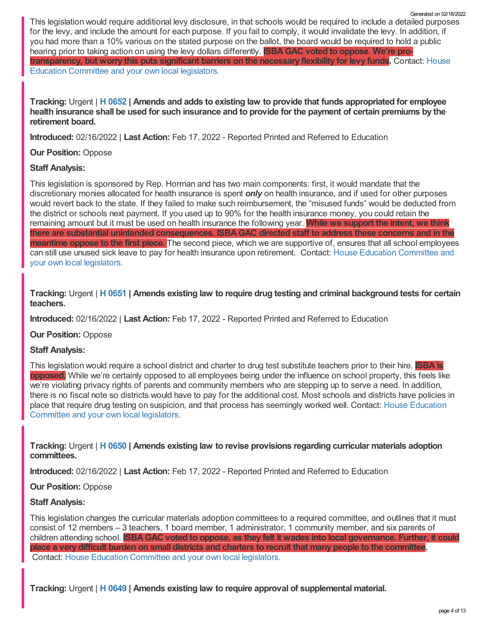This legislation would require additional levy disclosure, in that schools would be required to include a detailed purposes for the levy, and include the amount for each purpose. If you fail to comply, it would invalidate the levy. In addition, if you had more than a 10% various on the stated purpose on the ballot, the board would be required to hold a public hearing prior to taking action on using the levy dollars differently. **ISBAGAC voted to oppose. We're pro[transparency,](https://legislature.idaho.gov/sessioninfo/2022/standingcommittees/HEDU/) but worry this puts significant barriers on the necessary flexibility for levy funds.** Contact: House Education Committee and your own local legislators. Generated on 02/18/2022

Tracking: Urgent | H [0652](https://legislature.idaho.gov/sessioninfo/2022/legislation/H0652/) | Amends and adds to existing law to provide that funds appropriated for employee health insurance shall be used for such insurance and to provide for the payment of certain premiums by the **retirement board.**

**Introduced:** 02/16/2022 | **Last Action:** Feb 17, 2022 - Reported Printed and Referred to Education

### **Our Position:** Oppose

### **Staff Analysis:**

This legislation is sponsored by Rep. Horman and has two main components: first, it would mandate that the discretionary monies allocated for health insurance is spent *only* on health insurance, and if used for other purposes would revert back to the state. If they failed to make such reimbursement, the "misused funds" would be deducted from the district or schools next payment. If you used up to 90% for the health insurance money, you could retain the remaining amount but it must be used on health insurance the following year. **While we support the intent, we think there are substantial unintended consequences. ISBAGAC directed staff to address these concerns and in the meantime oppose to the first piece.** The second piece, which we are supportive of, ensures that all school employees can still use unused sick leave to pay for health insurance upon retirement. Contact: House Education [Committee](https://legislature.idaho.gov/sessioninfo/2022/standingcommittees/HEDU/) and your own local legislators.

Tracking: Urgent | H [0651](https://legislature.idaho.gov/sessioninfo/2022/legislation/H0651/) | Amends existing law to require drug testing and criminal background tests for certain **teachers.**

**Introduced:** 02/16/2022 | **Last Action:** Feb 17, 2022 - Reported Printed and Referred to Education

### **Our Position:** Oppose

### **Staff Analysis:**

This legislation would require a school district and charter to drug test substitute teachers prior to their hire. **ISBA is opposed.** While we're certainly opposed to all employees being under the influence on school property, this feels like we're violating privacy rights of parents and community members who are stepping up to serve a need. In addition, there is no fiscal note so districts would have to pay for the additional cost. Most schools and districts have policies in place that require drug testing on suspicion, and that process has seemingly worked well. Contact: House Education [Committee](https://legislature.idaho.gov/sessioninfo/2022/standingcommittees/HEDU/) and your own local legislators.

**Tracking:** Urgent | **H [0650](https://legislature.idaho.gov/sessioninfo/2022/legislation/H0650/) | Amends existing law to revise provisions regarding curricular materials adoption committees.**

**Introduced:** 02/16/2022 | **Last Action:** Feb 17, 2022 - Reported Printed and Referred to Education

### **Our Position:** Oppose

### **Staff Analysis:**

This legislation changes the curricular materials adoption committees to a required committee, and outlines that it must consist of 12 members – 3 teachers, 1 board member, 1 administrator, 1 community member, and six parents of children attending school. **ISBAGAC voted to oppose, as they felt it wades into local governance. Further, it could** place a very difficult burden on small districts and charters to recruit that many people to the committee. Contact: House Education [Committee](https://legislature.idaho.gov/sessioninfo/2022/standingcommittees/HEDU/) and your own local legislators.

**Tracking:** Urgent | **H [0649](https://legislature.idaho.gov/sessioninfo/2022/legislation/H0649/) | Amends existing law to require approval of supplemental material.**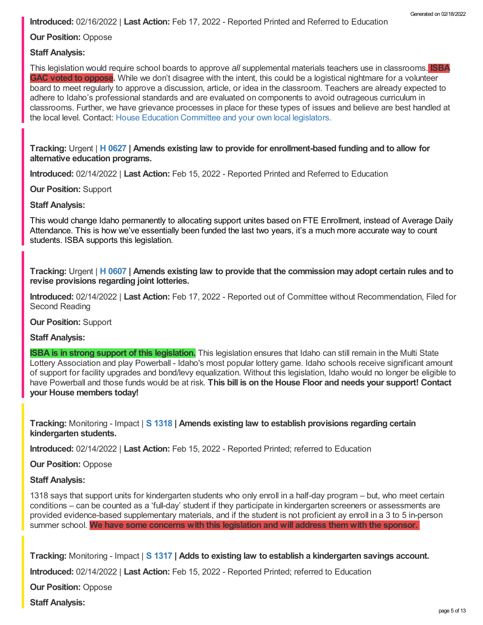**Introduced:** 02/16/2022 | **Last Action:** Feb 17, 2022 - Reported Printed and Referred to Education

**Our Position:** Oppose

### **Staff Analysis:**

This legislation would require school boards to approve *all* supplemental materials teachers use in classrooms. **ISBA GAC voted to oppose.** While we don't disagree with the intent, this could be a logistical nightmare for a volunteer board to meet regularly to approve a discussion, article, or idea in the classroom. Teachers are already expected to adhere to Idaho's professional standards and are evaluated on components to avoid outrageous curriculum in classrooms. Further, we have grievance processes in place for these types of issues and believe are best handled at the local level. Contact: House Education [Committee](https://legislature.idaho.gov/sessioninfo/2022/standingcommittees/HEDU/) and your own local legislators.

**Tracking:** Urgent | **H [0627](https://legislature.idaho.gov/sessioninfo/2022/legislation/H0627/) | Amends existing law to provide for enrollment-based funding and to allow for alternative education programs.**

**Introduced:** 02/14/2022 | **Last Action:** Feb 15, 2022 - Reported Printed and Referred to Education

**Our Position:** Support

**Staff Analysis:**

This would change Idaho permanently to allocating support unites based on FTE Enrollment, instead of Average Daily Attendance. This is how we've essentially been funded the last two years, it's a much more accurate way to count students. ISBA supports this legislation.

Tracking: Urgent | H [0607](https://legislature.idaho.gov/sessioninfo/2022/legislation/H0607/) | Amends existing law to provide that the commission may adopt certain rules and to **revise provisions regarding joint lotteries.**

**Introduced:** 02/14/2022 | **Last Action:** Feb 17, 2022 - Reported out of Committee without Recommendation, Filed for Second Reading

**Our Position:** Support

#### **Staff Analysis:**

**ISBA is in strong support of this legislation.** This legislation ensures that Idaho can still remain in the Multi State Lottery Association and play Powerball - Idaho's most popular lottery game. Idaho schools receive significant amount of support for facility upgrades and bond/levy equalization. Without this legislation, Idaho would no longer be eligible to have Powerball and those funds would be at risk. **This bill is on the House Floor and needs your support! Contact your House members today!**

**Tracking:** Monitoring - Impact | **S [1318](https://legislature.idaho.gov/sessioninfo/2022/legislation/S1318/) | Amends existing law to establish provisions regarding certain kindergarten students.**

**Introduced:** 02/14/2022 | **Last Action:** Feb 15, 2022 - Reported Printed; referred to Education

**Our Position:** Oppose

#### **Staff Analysis:**

1318 says that support units for kindergarten students who only enroll in a half-day program – but, who meet certain conditions – can be counted as a 'full-day' student if they participate in kindergarten screeners or assessments are provided evidence-based supplementary materials, and if the student is not proficient ay enroll in a 3 to 5 in-person summer school. **We have some concerns with this legislation and will address them with the sponsor.**

**Tracking:** Monitoring - Impact | **S [1317](https://legislature.idaho.gov/sessioninfo/2022/legislation/S1317/) | Adds to existing law to establish a kindergarten savings account.**

**Introduced:** 02/14/2022 | **Last Action:** Feb 15, 2022 - Reported Printed; referred to Education

**Our Position:** Oppose

**Staff Analysis:**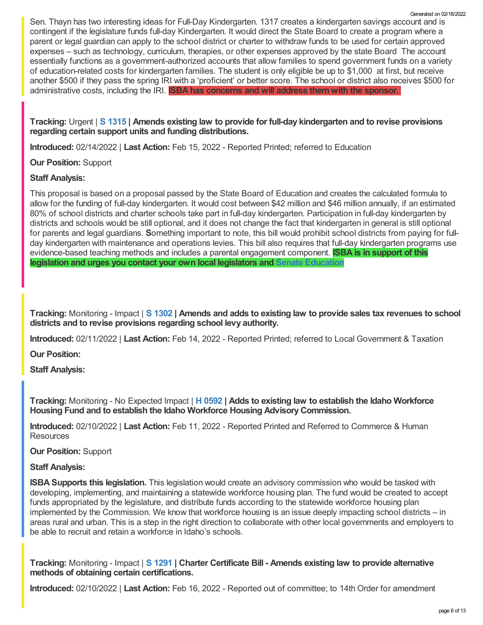Sen. Thayn has two interesting ideas for Full-Day Kindergarten. 1317 creates a kindergarten savings account and is contingent if the legislature funds full-day Kindergarten. It would direct the State Board to create a program where a parent or legal guardian can apply to the school district or charter to withdraw funds to be used for certain approved expenses – such as technology, curriculum, therapies, or other expenses approved by the state Board The account essentially functions as a government-authorized accounts that allow families to spend government funds on a variety of education-related costs for kindergarten families. The student is only eligible be up to \$1,000 at first, but receive another \$500 if they pass the spring IRI with a 'proficient' or better score. The school or district also receives \$500 for administrative costs, including the IRI. **ISBA has concerns and will address them with the sponsor.**

**Tracking:** Urgent | **S [1315](https://legislature.idaho.gov/sessioninfo/2022/legislation/S1315/) | Amends existing law to provide for full-day kindergarten and to revise provisions regarding certain support units and funding distributions.**

**Introduced:** 02/14/2022 | **Last Action:** Feb 15, 2022 - Reported Printed; referred to Education

**Our Position:** Support

### **Staff Analysis:**

This proposal is based on a proposal passed by the State Board of Education and creates the calculated formula to allow for the funding of full-day kindergarten. It would cost between \$42 million and \$46 million annually, if an estimated 80% of school districts and charter schools take part in full-day kindergarten. Participation in full-day kindergarten by districts and schools would be still optional, and it does not change the fact that kindergarten in general is still optional for parents and legal guardians. **S**omething important to note, this bill would prohibit school districts from paying for fullday kindergarten with maintenance and operations levies. This bill also requires that full-day kindergarten programs use evidence-based teaching methods and includes a parental engagement component. **ISBA is in support of this legislation and urges you contact your own local legislators and Senate [Education](https://legislature.idaho.gov/sessioninfo/2022/standingcommittees/SEDU/)**

Tracking: Monitoring - Impact | S [1302](https://legislature.idaho.gov/sessioninfo/2022/legislation/S1302/) | Amends and adds to existing law to provide sales tax revenues to school **districts and to revise provisions regarding school levy authority.**

**Introduced:** 02/11/2022 | **Last Action:** Feb 14, 2022 - Reported Printed; referred to Local Government & Taxation

**Our Position:**

**Staff Analysis:**

**Tracking:** Monitoring - No Expected Impact | **H [0592](https://legislature.idaho.gov/sessioninfo/2022/legislation/H0592/) | Adds to existing law to establish the Idaho Workforce Housing Fund and to establish the Idaho Workforce Housing AdvisoryCommission.**

**Introduced:** 02/10/2022 | **Last Action:** Feb 11, 2022 - Reported Printed and Referred to Commerce & Human **Resources** 

**Our Position:** Support

### **Staff Analysis:**

**ISBA Supports this legislation.** This legislation would create an advisory commission who would be tasked with developing, implementing, and maintaining a statewide workforce housing plan. The fund would be created to accept funds appropriated by the legislature, and distribute funds according to the statewide workforce housing plan implemented by the Commission. We know that workforce housing is an issue deeply impacting school districts – in areas rural and urban. This is a step in the right direction to collaborate with other local governments and employers to be able to recruit and retain a workforce in Idaho's schools.

**Tracking:** Monitoring - Impact | **S [1291](https://legislature.idaho.gov/sessioninfo/2022/legislation/S1291/) | Charter Certificate Bill - Amends existing law to provide alternative methods of obtaining certain certifications.**

**Introduced:** 02/10/2022 | **Last Action:** Feb 16, 2022 - Reported out of committee; to 14th Order for amendment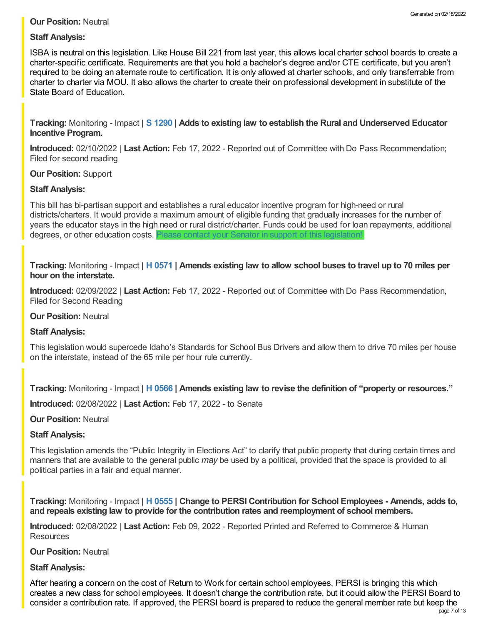### **Our Position:** Neutral

### **Staff Analysis:**

ISBA is neutral on this legislation. Like House Bill 221 from last year, this allows local charter school boards to create a charter-specific certificate. Requirements are that you hold a bachelor's degree and/or CTE certificate, but you aren't required to be doing an alternate route to certification. It is only allowed at charter schools, and only transferrable from charter to charter via MOU. It also allows the charter to create their on professional development in substitute of the State Board of Education.

**Tracking:** Monitoring - Impact | **S [1290](https://legislature.idaho.gov/sessioninfo/2022/legislation/S1290/) | Adds to existing law to establish the Rural and Underserved Educator Incentive Program.**

**Introduced:** 02/10/2022 | **Last Action:** Feb 17, 2022 - Reported out of Committee with Do Pass Recommendation; Filed for second reading

### **Our Position:** Support

### **Staff Analysis:**

This bill has bi-partisan support and establishes a rural educator incentive program for high-need or rural districts/charters. It would provide a maximum amount of eligible funding that gradually increases for the number of years the educator stays in the high need or rural district/charter. Funds could be used for loan repayments, additional degrees, or other education costs. Please contact your Senator in support of this legislation

Tracking: Monitoring - Impact | H [0571](https://legislature.idaho.gov/sessioninfo/2022/legislation/H0571/) | Amends existing law to allow school buses to travel up to 70 miles per **hour on the interstate.**

**Introduced:** 02/09/2022 | **Last Action:** Feb 17, 2022 - Reported out of Committee with Do Pass Recommendation, Filed for Second Reading

### **Our Position:** Neutral

### **Staff Analysis:**

This legislation would supercede Idaho's Standards for School Bus Drivers and allow them to drive 70 miles per house on the interstate, instead of the 65 mile per hour rule currently.

**Tracking:** Monitoring - Impact | **H [0566](https://legislature.idaho.gov/sessioninfo/2022/legislation/H0566/) | Amends existing law to revise the definition of "property or resources."**

**Introduced:** 02/08/2022 | **Last Action:** Feb 17, 2022 - to Senate

### **Our Position:** Neutral

### **Staff Analysis:**

This legislation amends the "Public Integrity in Elections Act" to clarify that public property that during certain times and manners that are available to the general public *may* be used by a political, provided that the space is provided to all political parties in a fair and equal manner.

**Tracking:** Monitoring - Impact | **H [0555](https://legislature.idaho.gov/sessioninfo/2022/legislation/H0555/) | Change to PERSI Contribution for School Employees - Amends, adds to, and repeals existing law to provide for the contribution rates and reemployment of school members.**

**Introduced:** 02/08/2022 | **Last Action:** Feb 09, 2022 - Reported Printed and Referred to Commerce & Human **Resources** 

### **Our Position:** Neutral

### **Staff Analysis:**

After hearing a concern on the cost of Return to Work for certain school employees, PERSI is bringing this which creates a new class for school employees. It doesn't change the contribution rate, but it could allow the PERSI Board to consider a contribution rate. If approved, the PERSI board is prepared to reduce the general member rate but keep the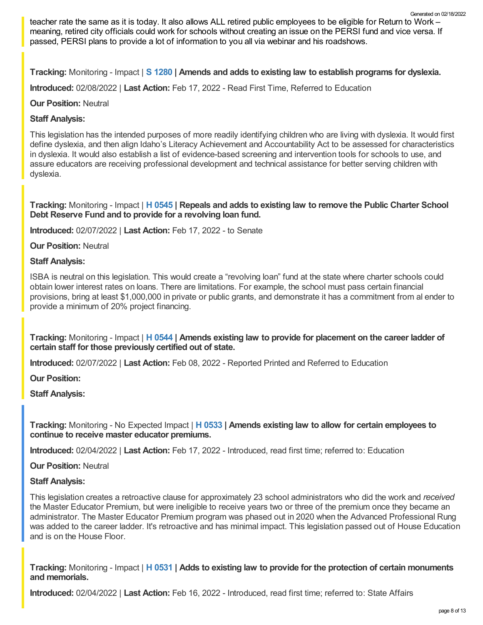teacher rate the same as it is today. It also allows ALL retired public employees to be eligible for Return to Work – meaning, retired city officials could work for schools without creating an issue on the PERSI fund and vice versa. If passed, PERSI plans to provide a lot of information to you all via webinar and his roadshows.

**Tracking:** Monitoring - Impact | **S [1280](https://legislature.idaho.gov/sessioninfo/2022/legislation/S1280/) | Amends and adds to existing law to establish programs for dyslexia.**

**Introduced:** 02/08/2022 | **Last Action:** Feb 17, 2022 - Read First Time, Referred to Education

### **Our Position:** Neutral

### **Staff Analysis:**

This legislation has the intended purposes of more readily identifying children who are living with dyslexia. It would first define dyslexia, and then align Idaho's Literacy Achievement and Accountability Act to be assessed for characteristics in dyslexia. It would also establish a list of evidence-based screening and intervention tools for schools to use, and assure educators are receiving professional development and technical assistance for better serving children with dyslexia.

**Tracking:** Monitoring - Impact | **H [0545](https://legislature.idaho.gov/sessioninfo/2022/legislation/H0545/) | Repeals and adds to existing law to remove the Public Charter School Debt Reserve Fund and to provide for a revolving loan fund.**

**Introduced:** 02/07/2022 | **Last Action:** Feb 17, 2022 - to Senate

**Our Position:** Neutral

#### **Staff Analysis:**

ISBA is neutral on this legislation. This would create a "revolving loan" fund at the state where charter schools could obtain lower interest rates on loans. There are limitations. For example, the school must pass certain financial provisions, bring at least \$1,000,000 in private or public grants, and demonstrate it has a commitment from al ender to provide a minimum of 20% project financing.

**Tracking:** Monitoring - Impact | **H [0544](https://legislature.idaho.gov/sessioninfo/2022/legislation/H0544/) | Amends existing law to provide for placement on the career ladder of certain staff for those previously certified out of state.**

**Introduced:** 02/07/2022 | **Last Action:** Feb 08, 2022 - Reported Printed and Referred to Education

**Our Position:**

**Staff Analysis:**

**Tracking:** Monitoring - No Expected Impact | **H [0533](https://legislature.idaho.gov/sessioninfo/2022/legislation/H0533/) | Amends existing law to allow for certain employees to continue to receive master educator premiums.**

**Introduced:** 02/04/2022 | **Last Action:** Feb 17, 2022 - Introduced, read first time; referred to: Education

**Our Position:** Neutral

### **Staff Analysis:**

This legislation creates a retroactive clause for approximately 23 school administrators who did the work and *received* the Master Educator Premium, but were ineligible to receive years two or three of the premium once they became an administrator. The Master Educator Premium program was phased out in 2020 when the Advanced Professional Rung was added to the career ladder. It's retroactive and has minimal impact. This legislation passed out of House Education and is on the House Floor.

**Tracking:** Monitoring - Impact | **H [0531](https://legislature.idaho.gov/sessioninfo/2022/legislation/H0531/) | Adds to existing law to provide for the protection of certain monuments and memorials.**

**Introduced:** 02/04/2022 | **Last Action:** Feb 16, 2022 - Introduced, read first time; referred to: State Affairs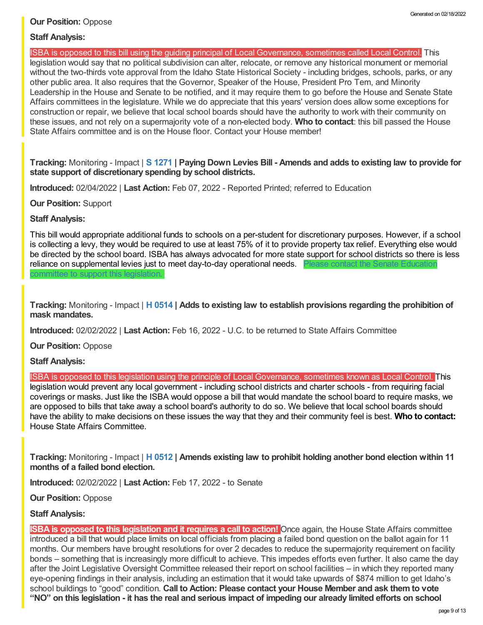### **Our Position:** Oppose

### **Staff Analysis:**

ISBA is opposed to this bill using the guiding principal of Local Governance, sometimes called Local Control. This

legislation would say that no political subdivision can alter, relocate, or remove any historical monument or memorial without the two-thirds vote approval from the Idaho State Historical Society - including bridges, schools, parks, or any other public area. It also requires that the Governor, Speaker of the House, President Pro Tem, and Minority Leadership in the House and Senate to be notified, and it may require them to go before the House and Senate State Affairs committees in the legislature. While we do appreciate that this years' version does allow some exceptions for construction or repair, we believe that local school boards should have the authority to work with their community on these issues, and not rely on a supermajority vote of a non-elected body. **Who to contact**: this bill passed the House State Affairs committee and is on the House floor. Contact your House member!

Tracking: Monitoring - Impact | S [1271](https://legislature.idaho.gov/sessioninfo/2022/legislation/S1271/) | Paying Down Levies Bill - Amends and adds to existing law to provide for **state support of discretionary spending by school districts.**

**Introduced:** 02/04/2022 | **Last Action:** Feb 07, 2022 - Reported Printed; referred to Education

**Our Position:** Support

**Staff Analysis:**

This bill would appropriate additional funds to schools on a per-student for discretionary purposes. However, if a school is collecting a levy, they would be required to use at least 75% of it to provide property tax relief. Everything else would be directed by the school board. ISBA has always advocated for more state support for school districts so there is less reliance on [supplemental](https://legislature.idaho.gov/sessioninfo/2022/standingcommittees/SEDU/) levies just to meet day-to-day operational needs. Please contact the Senate Education committee to support this legislation.

**Tracking:** Monitoring - Impact | **H [0514](https://legislature.idaho.gov/sessioninfo/2022/legislation/H0514/) | Adds to existing law to establish provisions regarding the prohibition of mask mandates.**

**Introduced:** 02/02/2022 | **Last Action:** Feb 16, 2022 - U.C. to be returned to State Affairs Committee

**Our Position:** Oppose

**Staff Analysis:**

ISBA is opposed to this legislation using the principle of Local Governance, sometimes known as Local Control. This legislation would prevent any local government - including school districts and charter schools - from requiring facial coverings or masks. Just like the ISBA would oppose a bill that would mandate the school board to require masks, we are opposed to bills that take away a school board's authority to do so. We believe that local school boards should have the ability to make decisions on these issues the way that they and their community feel is best. **Who to contact:** House State Affairs [Committee.](https://legislature.idaho.gov/sessioninfo/2022/standingcommittees/HSTA/)

**Tracking:** Monitoring - Impact | **H [0512](https://legislature.idaho.gov/sessioninfo/2022/legislation/H0512/) | Amends existing law to prohibit holding another bond election within 11 months of a failed bond election.**

**Introduced:** 02/02/2022 | **Last Action:** Feb 17, 2022 - to Senate

**Our Position:** Oppose

### **Staff Analysis:**

**ISBA is opposed to this legislation and it requires a call to action!** Once again, the House State Affairs committee introduced a bill that would place limits on local officials from placing a failed bond question on the ballot again for 11 months. Our members have brought resolutions for over 2 decades to reduce the supermajority requirement on facility bonds – something that is increasingly more difficult to achieve. This impedes efforts even further. It also came the day after the Joint Legislative Oversight Committee released their report on school facilities – in which they reported many eye-opening findings in their analysis, including an estimation that it would take upwards of \$874 million to get Idaho's school buildings to "good" condition. **Call to Action: Please contact your House Member and ask them to vote** "NO" on this legislation - it has the real and serious impact of impeding our already limited efforts on school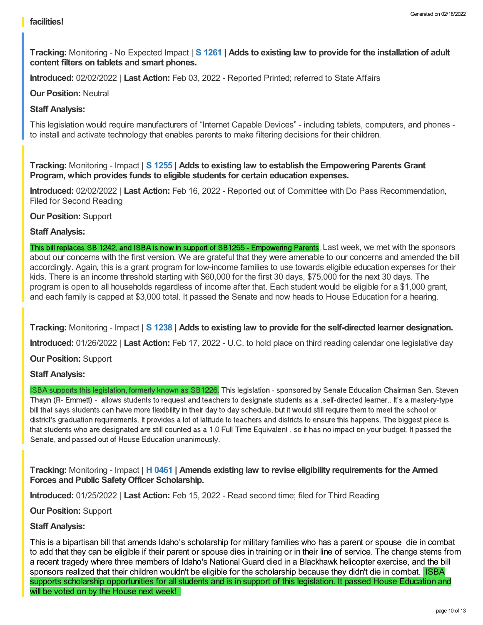**Tracking:** Monitoring - No Expected Impact | **S [1261](https://legislature.idaho.gov/sessioninfo/2022/legislation/S1261/) | Adds to existing law to provide for the installation of adult content filters on tablets and smart phones.**

**Introduced:** 02/02/2022 | **Last Action:** Feb 03, 2022 - Reported Printed; referred to State Affairs

**Our Position:** Neutral

### **Staff Analysis:**

This legislation would require manufacturers of "Internet Capable Devices" - including tablets, computers, and phones to install and activate technology that enables parents to make filtering decisions for their children.

**Tracking:** Monitoring - Impact | **S [1255](https://legislature.idaho.gov/sessioninfo/2022/legislation/S1255/) | Adds to existing law to establish the Empowering Parents Grant Program, which provides funds to eligible students for certain education expenses.**

**Introduced:** 02/02/2022 | **Last Action:** Feb 16, 2022 - Reported out of Committee with Do Pass Recommendation, Filed for Second Reading

**Our Position:** Support

### **Staff Analysis:**

This bill replaces SB 1242, and ISBA is now in support of SB1255 - Empowering Parents. Last week, we met with the sponsors about our concerns with the first version. We are grateful that they were amenable to our concerns and amended the bill accordingly. Again, this is a grant program for low-income families to use towards eligible education expenses for their kids. There is an income threshold starting with \$60,000 for the first 30 days, \$75,000 for the next 30 days. The program is open to all households regardless of income after that. Each student would be eligible for a \$1,000 grant, and each family is capped at \$3,000 total. It passed the Senate and now heads to House Education for a hearing.

**Tracking:** Monitoring - Impact | **S [1238](https://legislature.idaho.gov/sessioninfo/2022/legislation/S1238/) | Adds to existing law to provide for the self-directed learner designation.**

**Introduced:** 01/26/2022 | **Last Action:** Feb 17, 2022 - U.C. to hold place on third reading calendar one legislative day

**Our Position:** Support

### **Staff Analysis:**

ISBA supports this legislation, formerly known as SB1226. This legislation - sponsored by Senate Education Chairman Sen. Steven Thayn (R- Emmett) - allows students to request and teachers to designate students as a .self-directed learner.. It's a mastery-type bill that says students can have more flexibility in their day to day schedule, but it would still require them to meet the school or district's graduation requirements. It provides a lot of latitude to teachers and districts to ensure this happens. The biggest piece is that students who are designated are still counted as a 1.0 Full Time Equivalent . so it has no impact on your budget. It passed the Senate, and passed out of House Education unanimously.

**Tracking:** Monitoring - Impact | **H [0461](https://legislature.idaho.gov/sessioninfo/2022/legislation/H0461/) | Amends existing law to revise eligibility requirements for the Armed Forces and Public SafetyOfficer Scholarship.**

**Introduced:** 01/25/2022 | **Last Action:** Feb 15, 2022 - Read second time; filed for Third Reading

**Our Position:** Support

### **Staff Analysis:**

This is a bipartisan bill that amends Idaho's scholarship for military families who has a parent or spouse die in combat to add that they can be eligible if their parent or spouse dies in training or in their line of service. The change stems from a recent tragedy where three members of Idaho's National Guard died in a Blackhawk helicopter exercise, and the bill sponsors realized that their children wouldn't be eligible for the scholarship because they didn't die in combat. ISBA supports scholarship opportunities for all students and is in support of this legislation. It passed House Education and will be voted on by the House next week!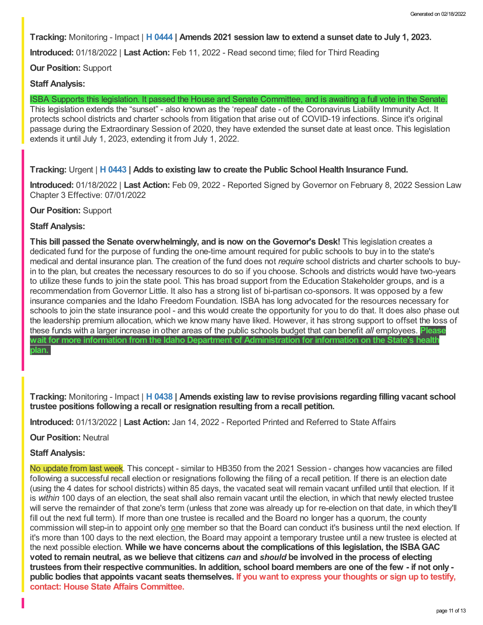**Tracking:** Monitoring - Impact | **H [0444](https://legislature.idaho.gov/sessioninfo/2022/legislation/H0444/) | Amends 2021 session law to extend a sunset date to July 1, 2023.**

**Introduced:** 01/18/2022 | **Last Action:** Feb 11, 2022 - Read second time; filed for Third Reading

**Our Position:** Support

### **Staff Analysis:**

ISBA Supports this legislation. It passed the House and Senate Committee, and is awaiting a full vote in the Senate. This legislation extends the "sunset" - also known as the 'repeal' date - of the Coronavirus Liability Immunity Act. It protects school districts and charter schools from litigation that arise out of COVID-19 infections. Since it's original passage during the Extraordinary Session of 2020, they have extended the sunset date at least once. This legislation extends it until July 1, 2023, extending it from July 1, 2022.

### **Tracking:** Urgent | **H [0443](https://legislature.idaho.gov/sessioninfo/2022/legislation/H0443/) | Adds to existing law to create the Public School Health Insurance Fund.**

**Introduced:** 01/18/2022 | **Last Action:** Feb 09, 2022 - Reported Signed by Governor on February 8, 2022 Session Law Chapter 3 Effective: 07/01/2022

### **Our Position:** Support

### **Staff Analysis:**

**This bill passed the Senate overwhelmingly, and is now on the Governor's Desk!** This legislation creates a dedicated fund for the purpose of funding the one-time amount required for public schools to buy in to the state's medical and dental insurance plan. The creation of the fund does not *require* school districts and charter schools to buyin to the plan, but creates the necessary resources to do so if you choose. Schools and districts would have two-years to utilize these funds to join the state pool. This has broad support from the Education Stakeholder groups, and is a recommendation from Governor Little. It also has a strong list of bi-partisan co-sponsors. It was opposed by a few insurance companies and the Idaho Freedom Foundation. ISBA has long advocated for the resources necessary for schools to join the state insurance pool - and this would create the opportunity for you to do that. It does also phase out the leadership premium allocation, which we know many have liked. However, it has strong support to offset the loss of these funds with a larger increase in other areas of the public schools budget that can benefit *all* employees. **Please wait for more information from the Idaho Department of Administration for information on the State's health plan.**

**Tracking:** Monitoring - Impact | **H [0438](https://legislature.idaho.gov/sessioninfo/2022/legislation/H0438/) | Amends existing law to revise provisions regarding filling vacant school trustee positions following a recall or resignation resulting from a recall petition.**

**Introduced:** 01/13/2022 | **Last Action:** Jan 14, 2022 - Reported Printed and Referred to State Affairs

**Our Position:** Neutral

# **Staff Analysis:**

No update from last week. This concept - similar to HB350 from the 2021 Session - changes how vacancies are filled following a successful recall election or resignations following the filing of a recall petition. If there is an election date (using the 4 dates for school districts) within 85 days, the vacated seat will remain vacant unfilled until that election. If it is *within* 100 days of an election, the seat shall also remain vacant until the election, in which that newly elected trustee will serve the remainder of that zone's term (unless that zone was already up for re-election on that date, in which they'll fill out the next full term). If more than one trustee is recalled and the Board no longer has a quorum, the county commission will step-in to appoint only one member so that the Board can conduct it's business until the next election. If it's more than 100 days to the next election, the Board may appoint a temporary trustee until a new trustee is elected at the next possible election. **While we have concerns about the complications of this legislation, the ISBAGAC** voted to remain neutral, as we believe that citizens can and should be involved in the process of electing trustees from their respective communities. In addition, school board members are one of the few - if not only public bodies that appoints vacant seats themselves. If you want to express your thoughts or sign up to testify, **contact: House State Affairs [Committee.](https://legislature.idaho.gov/sessioninfo/2022/standingcommittees/HSTA/)**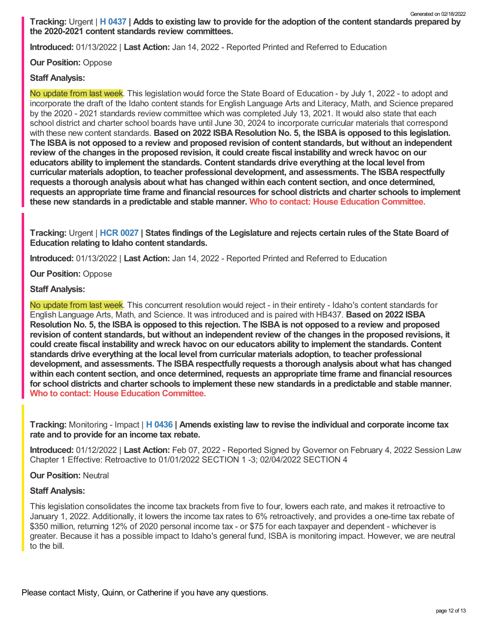Tracking: Urgent | H [0437](https://legislature.idaho.gov/sessioninfo/2022/legislation/H0437/) | Adds to existing law to provide for the adoption of the content standards prepared by **the 2020-2021 content standards review committees.** Generated on 02/18/2022

**Introduced:** 01/13/2022 | **Last Action:** Jan 14, 2022 - Reported Printed and Referred to Education

### **Our Position:** Oppose

### **Staff Analysis:**

No update from last week. This legislation would force the State Board of Education - by July 1, 2022 - to adopt and incorporate the draft of the Idaho content stands for English Language Arts and Literacy, Math, and Science prepared by the 2020 - 2021 standards review committee which was completed July 13, 2021. It would also state that each school district and charter school boards have until June 30, 2024 to incorporate curricular materials that correspond with these new content standards. **Based on 2022 ISBA Resolution No. 5, the ISBA is opposed to this legislation.** The ISBA is not opposed to a review and proposed revision of content standards, but without an independent review of the changes in the proposed revision, it could create fiscal instability and wreck havoc on our **educators ability to implement the standards. Content standards drive everything at the local level from curricular materials adoption, to teacher professional development, and assessments. The ISBA respectfully requests a thorough analysis about what has changed within each content section, and once determined, requests an appropriate time frame and financial resources for school districts and charter schools to implement these new standards in a predictable and stable manner. Who to contact: House Education [Committee.](https://legislature.idaho.gov/sessioninfo/2022/standingcommittees/HEDU/)**

Tracking: Urgent | HCR [0027](https://legislature.idaho.gov/sessioninfo/2022/legislation/HCR027/) | States findings of the Legislature and rejects certain rules of the State Board of **Education relating to Idaho content standards.**

**Introduced:** 01/13/2022 | **Last Action:** Jan 14, 2022 - Reported Printed and Referred to Education

**Our Position:** Oppose

### **Staff Analysis:**

No update from last week. This concurrent resolution would reject - in their entirety - Idaho's content standards for English Language Arts, Math, and Science. It was introduced and is paired with HB437. **Based on 2022 ISBA** Resolution No. 5, the ISBA is opposed to this rejection. The ISBA is not opposed to a review and proposed revision of content standards, but without an independent review of the changes in the proposed revisions, it **could create fiscal instability and wreck havoc on our educators ability to implement the standards. Content standards drive everything at the local level from curricular materials adoption, to teacher professional development, and assessments. The ISBA respectfully requests a thorough analysis about what has changed within each content section, and once determined, requests an appropriate time frame and financial resources** for school districts and charter schools to implement these new standards in a predictable and stable manner. **Who to contact: House Education [Committee](https://legislature.idaho.gov/sessioninfo/2022/standingcommittees/HEDU/).**

**Tracking:** Monitoring - Impact | **H [0436](https://legislature.idaho.gov/sessioninfo/2022/legislation/H0436/) | Amends existing law to revise the individual and corporate income tax rate and to provide for an income tax rebate.**

**Introduced:** 01/12/2022 | **Last Action:** Feb 07, 2022 - Reported Signed by Governor on February 4, 2022 Session Law Chapter 1 Effective: Retroactive to 01/01/2022 SECTION 1 -3; 02/04/2022 SECTION 4

### **Our Position:** Neutral

### **Staff Analysis:**

This legislation consolidates the income tax brackets from five to four, lowers each rate, and makes it retroactive to January 1, 2022. Additionally, it lowers the income tax rates to 6% retroactively, and provides a one-time tax rebate of \$350 million, returning 12% of 2020 personal income tax - or \$75 for each taxpayer and dependent - whichever is greater. Because it has a possible impact to Idaho's general fund, ISBA is monitoring impact. However, we are neutral to the bill.

Please contact Misty, Quinn, or Catherine if you have any questions.